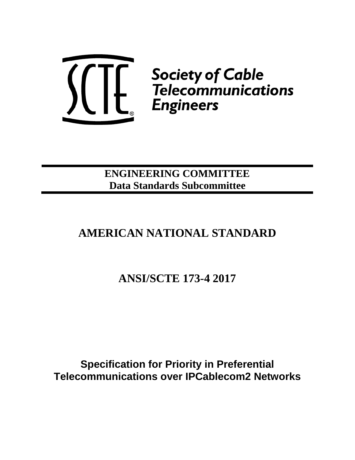

**ENGINEERING COMMITTEE Data Standards Subcommittee**

# **AMERICAN NATIONAL STANDARD**

**ANSI/SCTE 173-4 2017**

**Specification for Priority in Preferential Telecommunications over IPCablecom2 Networks**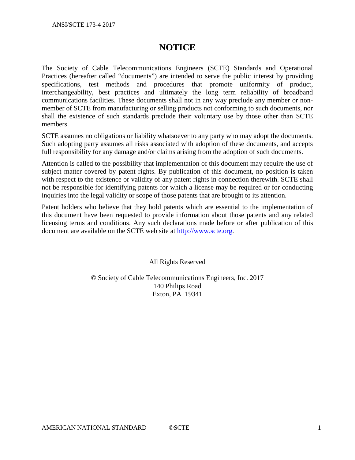## **NOTICE**

The Society of Cable Telecommunications Engineers (SCTE) Standards and Operational Practices (hereafter called "documents") are intended to serve the public interest by providing specifications, test methods and procedures that promote uniformity of product, interchangeability, best practices and ultimately the long term reliability of broadband communications facilities. These documents shall not in any way preclude any member or nonmember of SCTE from manufacturing or selling products not conforming to such documents, nor shall the existence of such standards preclude their voluntary use by those other than SCTE members.

SCTE assumes no obligations or liability whatsoever to any party who may adopt the documents. Such adopting party assumes all risks associated with adoption of these documents, and accepts full responsibility for any damage and/or claims arising from the adoption of such documents.

Attention is called to the possibility that implementation of this document may require the use of subject matter covered by patent rights. By publication of this document, no position is taken with respect to the existence or validity of any patent rights in connection therewith. SCTE shall not be responsible for identifying patents for which a license may be required or for conducting inquiries into the legal validity or scope of those patents that are brought to its attention.

Patent holders who believe that they hold patents which are essential to the implementation of this document have been requested to provide information about those patents and any related licensing terms and conditions. Any such declarations made before or after publication of this document are available on the SCTE web site at [http://www.scte.org.](http://www.scte.org/)

All Rights Reserved

© Society of Cable Telecommunications Engineers, Inc. 2017 140 Philips Road Exton, PA 19341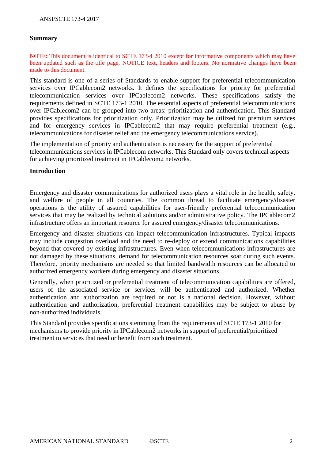#### **Summary**

NOTE: This document is identical to SCTE 173-4 2010 except for informative components which may have been updated such as the title page, NOTICE text, headers and footers. No normative changes have been made to this document.

This standard is one of a series of Standards to enable support for preferential telecommunication services over IPCablecom2 networks. It defines the specifications for priority for preferential telecommunication services over IPCablecom2 networks. These specifications satisfy the requirements defined in SCTE 173-1 2010. The essential aspects of preferential telecommunications over IPCablecom2 can be grouped into two areas: prioritization and authentication. This Standard provides specifications for prioritization only. Prioritization may be utilized for premium services and for emergency services in IPCablecom2 that may require preferential treatment (e.g., telecommunications for disaster relief and the emergency telecommunications service).

The implementation of priority and authentication is necessary for the support of preferential telecommunications services in IPCablecom networks. This Standard only covers technical aspects for achieving prioritized treatment in IPCablecom2 networks.

#### **Introduction**

Emergency and disaster communications for authorized users plays a vital role in the health, safety, and welfare of people in all countries. The common thread to facilitate emergency/disaster operations is the utility of assured capabilities for user-friendly preferential telecommunication services that may be realized by technical solutions and/or administrative policy. The IPCablecom2 infrastructure offers an important resource for assured emergency/disaster telecommunications.

Emergency and disaster situations can impact telecommunication infrastructures. Typical impacts may include congestion overload and the need to re-deploy or extend communications capabilities beyond that covered by existing infrastructures. Even when telecommunications infrastructures are not damaged by these situations, demand for telecommunication resources soar during such events. Therefore, priority mechanisms are needed so that limited bandwidth resources can be allocated to authorized emergency workers during emergency and disaster situations.

Generally, when prioritized or preferential treatment of telecommunication capabilities are offered, users of the associated service or services will be authenticated and authorized. Whether authentication and authorization are required or not is a national decision. However, without authentication and authorization, preferential treatment capabilities may be subject to abuse by non-authorized individuals.

This Standard provides specifications stemming from the requirements of SCTE 173-1 2010 for mechanisms to provide priority in IPCablecom2 networks in support of preferential/prioritized treatment to services that need or benefit from such treatment.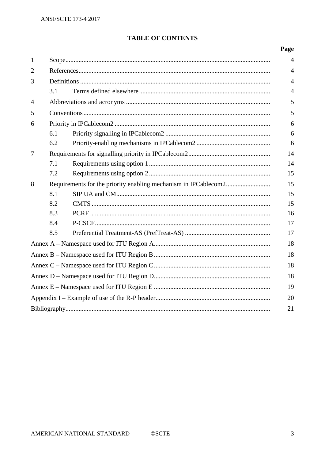#### **TABLE OF CONTENTS**

## Page

| $\mathbf{1}$   |     |  |                |  |  |
|----------------|-----|--|----------------|--|--|
| $\overline{2}$ |     |  |                |  |  |
| 3              |     |  |                |  |  |
|                | 3.1 |  | $\overline{4}$ |  |  |
| $\overline{4}$ | 5   |  |                |  |  |
| 5              |     |  |                |  |  |
| 6              |     |  |                |  |  |
|                | 6.1 |  | 6              |  |  |
|                | 6.2 |  | 6              |  |  |
| $\tau$         |     |  |                |  |  |
|                | 7.1 |  | 14             |  |  |
|                | 7.2 |  | 15             |  |  |
| 8              |     |  |                |  |  |
|                | 8.1 |  | 15             |  |  |
|                | 8.2 |  | 15             |  |  |
|                | 8.3 |  | 16             |  |  |
|                | 8.4 |  | 17             |  |  |
|                | 8.5 |  | 17             |  |  |
| 18             |     |  |                |  |  |
| 18             |     |  |                |  |  |
| 18             |     |  |                |  |  |
| 18             |     |  |                |  |  |
| 19             |     |  |                |  |  |
| 20             |     |  |                |  |  |
| 21             |     |  |                |  |  |
|                |     |  |                |  |  |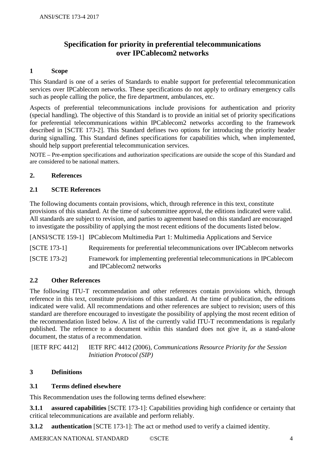## **Specification for priority in preferential telecommunications over IPCablecom2 networks**

#### **1 Scope**

This Standard is one of a series of Standards to enable support for preferential telecommunication services over IPCablecom networks. These specifications do not apply to ordinary emergency calls such as people calling the police, the fire department, ambulances, etc.

Aspects of preferential telecommunications include provisions for authentication and priority (special handling). The objective of this Standard is to provide an initial set of priority specifications for preferential telecommunications within IPCablecom2 networks according to the framework described in [SCTE 173-2]. This Standard defines two options for introducing the priority header during signalling. This Standard defines specifications for capabilities which, when implemented, should help support preferential telecommunication services.

NOTE – Pre-emption specifications and authorization specifications are outside the scope of this Standard and are considered to be national matters.

#### **2. References**

#### **2.1 SCTE References**

The following documents contain provisions, which, through reference in this text, constitute provisions of this standard. At the time of subcommittee approval, the editions indicated were valid. All standards are subject to revision, and parties to agreement based on this standard are encouraged to investigate the possibility of applying the most recent editions of the documents listed below.

[ANSI/SCTE 159-1] IPCablecom Multimedia Part 1: Multimedia Applications and Service

[SCTE 173-1] Requirements for preferential telecommunications over IPCablecom networks

[SCTE 173-2] Framework for implementing preferential telecommunications in IPCablecom and IPCablecom2 networks

#### **2.2 Other References**

The following ITU-T recommendation and other references contain provisions which, through reference in this text, constitute provisions of this standard. At the time of publication, the editions indicated were valid. All recommendations and other references are subject to revision; users of this standard are therefore encouraged to investigate the possibility of applying the most recent edition of the recommendation listed below. A list of the currently valid ITU-T recommendations is regularly published. The reference to a document within this standard does not give it, as a stand-alone document, the status of a recommendation.

[IETF RFC 4412] IETF RFC 4412 (2006), *Communications Resource Priority for the Session Initiation Protocol (SIP)*

#### **3 Definitions**

#### **3.1 Terms defined elsewhere**

This Recommendation uses the following terms defined elsewhere:

**3.1.1 assured capabilities** [SCTE 173-1]: Capabilities providing high confidence or certainty that critical telecommunications are available and perform reliably.

**3.1.2 authentication** [SCTE 173-1]: The act or method used to verify a claimed identity.

AMERICAN NATIONAL STANDARD ©SCTE 4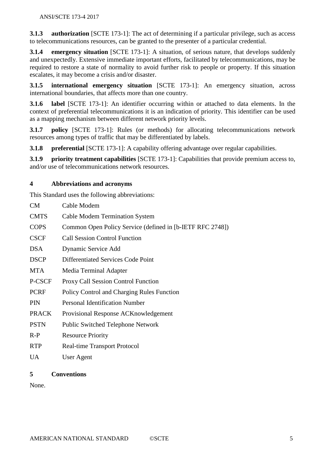**3.1.3 authorization** [SCTE 173-1]: The act of determining if a particular privilege, such as access to telecommunications resources, can be granted to the presenter of a particular credential.

**3.1.4 emergency situation** [SCTE 173-1]: A situation, of serious nature, that develops suddenly and unexpectedly. Extensive immediate important efforts, facilitated by telecommunications, may be required to restore a state of normality to avoid further risk to people or property. If this situation escalates, it may become a crisis and/or disaster.

**3.1.5 international emergency situation** [SCTE 173-1]: An emergency situation, across international boundaries, that affects more than one country.

**3.1.6 label** [SCTE 173-1]: An identifier occurring within or attached to data elements. In the context of preferential telecommunications it is an indication of priority. This identifier can be used as a mapping mechanism between different network priority levels.

**3.1.7 policy** [SCTE 173-1]: Rules (or methods) for allocating telecommunications network resources among types of traffic that may be differentiated by labels.

**3.1.8 preferential** [SCTE 173-1]: A capability offering advantage over regular capabilities.

**3.1.9 priority treatment capabilities** [SCTE 173-1]: Capabilities that provide premium access to, and/or use of telecommunications network resources.

#### **4 Abbreviations and acronyms**

This Standard uses the following abbreviations:

| <b>CM</b>    | Cable Modem                                               |
|--------------|-----------------------------------------------------------|
| <b>CMTS</b>  | <b>Cable Modem Termination System</b>                     |
| <b>COPS</b>  | Common Open Policy Service (defined in [b-IETF RFC 2748]) |
| <b>CSCF</b>  | <b>Call Session Control Function</b>                      |
| <b>DSA</b>   | Dynamic Service Add                                       |
| <b>DSCP</b>  | Differentiated Services Code Point                        |
| <b>MTA</b>   | Media Terminal Adapter                                    |
| P-CSCF       | <b>Proxy Call Session Control Function</b>                |
| <b>PCRF</b>  | Policy Control and Charging Rules Function                |
| <b>PIN</b>   | <b>Personal Identification Number</b>                     |
| <b>PRACK</b> | Provisional Response ACK nowledgement                     |
| <b>PSTN</b>  | <b>Public Switched Telephone Network</b>                  |
| $R-P$        | <b>Resource Priority</b>                                  |
| <b>RTP</b>   | <b>Real-time Transport Protocol</b>                       |
| UA           | User Agent                                                |

#### **5 Conventions**

None.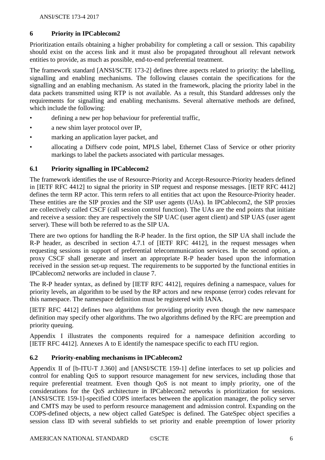#### **6 Priority in IPCablecom2**

Prioritization entails obtaining a higher probability for completing a call or session. This capability should exist on the access link and it must also be propagated throughout all relevant network entities to provide, as much as possible, end-to-end preferential treatment.

The framework standard [ANSI/SCTE 173-2] defines three aspects related to priority: the labelling, signalling and enabling mechanisms. The following clauses contain the specifications for the signalling and an enabling mechanism. As stated in the framework, placing the priority label in the data packets transmitted using RTP is not available. As a result, this Standard addresses only the requirements for signalling and enabling mechanisms. Several alternative methods are defined, which include the following:

- defining a new per hop behaviour for preferential traffic,
- a new shim layer protocol over IP,
- marking an application layer packet, and
- allocating a Diffserv code point, MPLS label, Ethernet Class of Service or other priority markings to label the packets associated with particular messages.

#### **6.1 Priority signalling in IPCablecom2**

The framework identifies the use of Resource-Priority and Accept-Resource-Priority headers defined in [IETF RFC 4412] to signal the priority in SIP request and response messages. [IETF RFC 4412] defines the term RP actor. This term refers to all entities that act upon the Resource-Priority header. These entities are the SIP proxies and the SIP user agents (UAs). In IPCablecom2, the SIP proxies are collectively called CSCF (call session control function). The UAs are the end points that initiate and receive a session: they are respectively the SIP UAC (user agent client) and SIP UAS (user agent server). These will both be referred to as the SIP UA.

There are two options for handling the R-P header. In the first option, the SIP UA shall include the R-P header, as described in section 4.7.1 of [IETF RFC 4412], in the request messages when requesting sessions in support of preferential telecommunication services. In the second option, a proxy CSCF shall generate and insert an appropriate R-P header based upon the information received in the session set-up request. The requirements to be supported by the functional entities in IPCablecom2 networks are included in clause 7.

The R-P header syntax, as defined by [IETF RFC 4412], requires defining a namespace, values for priority levels, an algorithm to be used by the RP actors and new response (error) codes relevant for this namespace. The namespace definition must be registered with IANA.

[IETF RFC 4412] defines two algorithms for providing priority even though the new namespace definition may specify other algorithms. The two algorithms defined by the RFC are preemption and priority queuing.

Appendix I illustrates the components required for a namespace definition according to [IETF RFC 4412]. Annexes A to E identify the namespace specific to each ITU region.

#### **6.2 Priority-enabling mechanisms in IPCablecom2**

Appendix II of [b-ITU-T J.360] and [ANSI/SCTE 159-1] define interfaces to set up policies and control for enabling QoS to support resource management for new services, including those that require preferential treatment. Even though QoS is not meant to imply priority, one of the considerations for the QoS architecture in IPCablecom2 networks is prioritization for sessions. [ANSI/SCTE 159-1]-specified COPS interfaces between the application manager, the policy server and CMTS may be used to perform resource management and admission control. Expanding on the COPS-defined objects, a new object called GateSpec is defined. The GateSpec object specifies a session class ID with several subfields to set priority and enable preemption of lower priority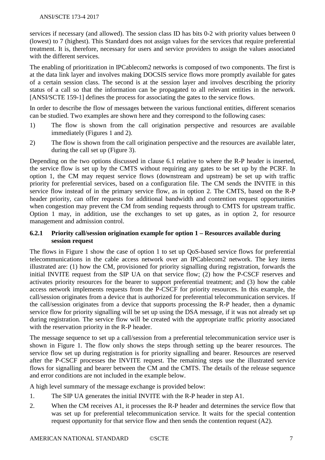#### ANSI/SCTE 173-4 2017

services if necessary (and allowed). The session class ID has bits 0-2 with priority values between 0 (lowest) to 7 (highest). This Standard does not assign values for the services that require preferential treatment. It is, therefore, necessary for users and service providers to assign the values associated with the different services.

The enabling of prioritization in IPCablecom2 networks is composed of two components. The first is at the data link layer and involves making DOCSIS service flows more promptly available for gates of a certain session class. The second is at the session layer and involves describing the priority status of a call so that the information can be propagated to all relevant entities in the network. [ANSI/SCTE 159-1] defines the process for associating the gates to the service flows.

In order to describe the flow of messages between the various functional entities, different scenarios can be studied. Two examples are shown here and they correspond to the following cases:

- 1) The flow is shown from the call origination perspective and resources are available immediately (Figures 1 and 2).
- 2) The flow is shown from the call origination perspective and the resources are available later, during the call set up (Figure 3).

Depending on the two options discussed in clause 6.1 relative to where the R-P header is inserted, the service flow is set up by the CMTS without requiring any gates to be set up by the PCRF. In option 1, the CM may request service flows (downstream and upstream) be set up with traffic priority for preferential services, based on a configuration file. The CM sends the INVITE in this service flow instead of in the primary service flow, as in option 2. The CMTS, based on the R-P header priority, can offer requests for additional bandwidth and contention request opportunities when congestion may prevent the CM from sending requests through to CMTS for upstream traffic. Option 1 may, in addition, use the exchanges to set up gates, as in option 2, for resource management and admission control.

#### **6.2.1 Priority call/session origination example for option 1 – Resources available during session request**

The flows in Figure 1 show the case of option 1 to set up QoS-based service flows for preferential telecommunications in the cable access network over an IPCablecom2 network. The key items illustrated are: (1) how the CM, provisioned for priority signalling during registration, forwards the initial INVITE request from the SIP UA on that service flow; (2) how the P-CSCF reserves and activates priority resources for the bearer to support preferential treatment; and (3) how the cable access network implements requests from the P-CSCF for priority resources. In this example, the call/session originates from a device that is authorized for preferential telecommunication services. If the call/session originates from a device that supports processing the R-P header, then a dynamic service flow for priority signalling will be set up using the DSA message, if it was not already set up during registration. The service flow will be created with the appropriate traffic priority associated with the reservation priority in the R-P header.

The message sequence to set up a call/session from a preferential telecommunication service user is shown in Figure 1. The flow only shows the steps through setting up the bearer resources. The service flow set up during registration is for priority signalling and bearer. Resources are reserved after the P-CSCF processes the INVITE request. The remaining steps use the illustrated service flows for signalling and bearer between the CM and the CMTS. The details of the release sequence and error conditions are not included in the example below.

A high level summary of the message exchange is provided below:

- 1. The SIP UA generates the initial INVITE with the R-P header in step A1.
- 2. When the CM receives A1, it processes the R-P header and determines the service flow that was set up for preferential telecommunication service. It waits for the special contention request opportunity for that service flow and then sends the contention request (A2).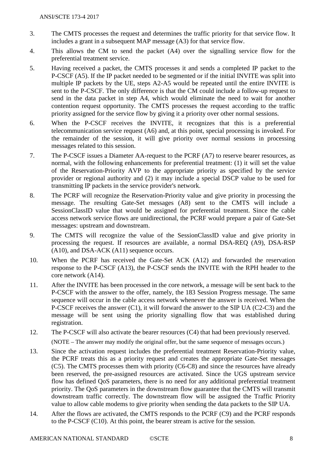- 3. The CMTS processes the request and determines the traffic priority for that service flow. It includes a grant in a subsequent MAP message (A3) for that service flow.
- 4. This allows the CM to send the packet (A4) over the signalling service flow for the preferential treatment service.
- 5. Having received a packet, the CMTS processes it and sends a completed IP packet to the P-CSCF (A5). If the IP packet needed to be segmented or if the initial INVITE was split into multiple IP packets by the UE, steps A2-A5 would be repeated until the entire INVITE is sent to the P-CSCF. The only difference is that the CM could include a follow-up request to send in the data packet in step A4, which would eliminate the need to wait for another contention request opportunity. The CMTS processes the request according to the traffic priority assigned for the service flow by giving it a priority over other normal sessions.
- 6. When the P-CSCF receives the INVITE, it recognizes that this is a preferential telecommunication service request (A6) and, at this point, special processing is invoked. For the remainder of the session, it will give priority over normal sessions in processing messages related to this session.
- 7. The P-CSCF issues a Diameter AA-request to the PCRF (A7) to reserve bearer resources, as normal, with the following enhancements for preferential treatment: (1) it will set the value of the Reservation-Priority AVP to the appropriate priority as specified by the service provider or regional authority and (2) it may include a special DSCP value to be used for transmitting IP packets in the service provider's network.
- 8. The PCRF will recognize the Reservation-Priority value and give priority in processing the message. The resulting Gate-Set messages (A8) sent to the CMTS will include a SessionClassID value that would be assigned for preferential treatment. Since the cable access network service flows are unidirectional, the PCRF would prepare a pair of Gate-Set messages: upstream and downstream.
- 9. The CMTS will recognize the value of the SessionClassID value and give priority in processing the request. If resources are available, a normal DSA-REQ (A9), DSA-RSP (A10), and DSA-ACK (A11) sequence occurs.
- 10. When the PCRF has received the Gate-Set ACK (A12) and forwarded the reservation response to the P-CSCF (A13), the P-CSCF sends the INVITE with the RPH header to the core network (A14).
- 11. After the INVITE has been processed in the core network, a message will be sent back to the P-CSCF with the answer to the offer, namely, the 183 Session Progress message. The same sequence will occur in the cable access network whenever the answer is received. When the P-CSCF receives the answer (C1), it will forward the answer to the SIP UA (C2-C3) and the message will be sent using the priority signalling flow that was established during registration.
- 12. The P-CSCF will also activate the bearer resources (C4) that had been previously reserved. (NOTE – The answer may modify the original offer, but the same sequence of messages occurs.)
- 13. Since the activation request includes the preferential treatment Reservation-Priority value, the PCRF treats this as a priority request and creates the appropriate Gate-Set messages (C5). The CMTS processes them with priority (C6-C8) and since the resources have already been reserved, the pre-assigned resources are activated. Since the UGS upstream service flow has defined QoS parameters, there is no need for any additional preferential treatment priority. The QoS parameters in the downstream flow guarantee that the CMTS will transmit downstream traffic correctly. The downstream flow will be assigned the Traffic Priority value to allow cable modems to give priority when sending the data packets to the SIP UA.
- 14. After the flows are activated, the CMTS responds to the PCRF (C9) and the PCRF responds to the P-CSCF (C10). At this point, the bearer stream is active for the session.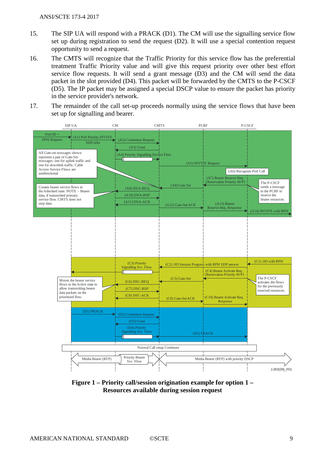- 15. The SIP UA will respond with a PRACK (D1). The CM will use the signalling service flow set up during registration to send the request (D2). It will use a special contention request opportunity to send a request.
- 16. The CMTS will recognize that the Traffic Priority for this service flow has the preferential treatment Traffic Priority value and will give this request priority over other best effort service flow requests. It will send a grant message (D3) and the CM will send the data packet in the slot provided (D4). This packet will be forwarded by the CMTS to the P-CSCF (D5). The IP packet may be assigned a special DSCP value to ensure the packet has priority in the service provider's network.
- 17. The remainder of the call set-up proceeds normally using the service flows that have been set up for signalling and bearer.



**Figure 1 – Priority call/session origination example for option 1 – Resources available during session request**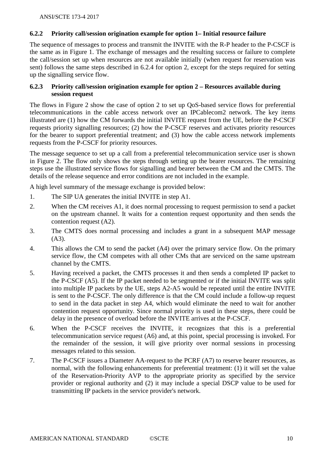#### **6.2.2 Priority call/session origination example for option 1– Initial resource failure**

The sequence of messages to process and transmit the INVITE with the R-P header to the P-CSCF is the same as in Figure 1. The exchange of messages and the resulting success or failure to complete the call/session set up when resources are not available initially (when request for reservation was sent) follows the same steps described in 6.2.4 for option 2, except for the steps required for setting up the signalling service flow.

#### **6.2.3 Priority call/session origination example for option 2 – Resources available during session request**

The flows in Figure 2 show the case of option 2 to set up QoS-based service flows for preferential telecommunications in the cable access network over an IPCablecom2 network. The key items illustrated are (1) how the CM forwards the initial INVITE request from the UE, before the P-CSCF requests priority signalling resources; (2) how the P-CSCF reserves and activates priority resources for the bearer to support preferential treatment; and (3) how the cable access network implements requests from the P-CSCF for priority resources.

The message sequence to set up a call from a preferential telecommunication service user is shown in Figure 2. The flow only shows the steps through setting up the bearer resources. The remaining steps use the illustrated service flows for signalling and bearer between the CM and the CMTS. The details of the release sequence and error conditions are not included in the example.

A high level summary of the message exchange is provided below:

- 1. The SIP UA generates the initial INVITE in step A1.
- 2. When the CM receives A1, it does normal processing to request permission to send a packet on the upstream channel. It waits for a contention request opportunity and then sends the contention request (A2).
- 3. The CMTS does normal processing and includes a grant in a subsequent MAP message (A3).
- 4. This allows the CM to send the packet (A4) over the primary service flow. On the primary service flow, the CM competes with all other CMs that are serviced on the same upstream channel by the CMTS.
- 5. Having received a packet, the CMTS processes it and then sends a completed IP packet to the P-CSCF (A5). If the IP packet needed to be segmented or if the initial INVITE was split into multiple IP packets by the UE, steps A2-A5 would be repeated until the entire INVITE is sent to the P-CSCF. The only difference is that the CM could include a follow-up request to send in the data packet in step A4, which would eliminate the need to wait for another contention request opportunity. Since normal priority is used in these steps, there could be delay in the presence of overload before the INVITE arrives at the P-CSCF.
- 6. When the P-CSCF receives the INVITE, it recognizes that this is a preferential telecommunication service request (A6) and, at this point, special processing is invoked. For the remainder of the session, it will give priority over normal sessions in processing messages related to this session.
- 7. The P-CSCF issues a Diameter AA-request to the PCRF (A7) to reserve bearer resources, as normal, with the following enhancements for preferential treatment: (1) it will set the value of the Reservation-Priority AVP to the appropriate priority as specified by the service provider or regional authority and (2) it may include a special DSCP value to be used for transmitting IP packets in the service provider's network.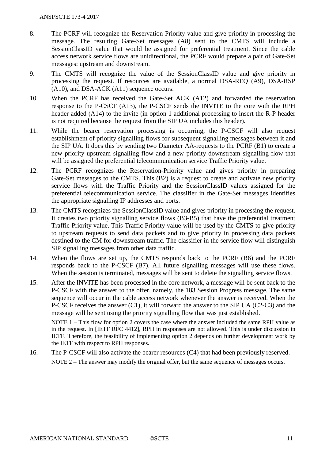- 8. The PCRF will recognize the Reservation-Priority value and give priority in processing the message. The resulting Gate-Set messages (A8) sent to the CMTS will include a SessionClassID value that would be assigned for preferential treatment. Since the cable access network service flows are unidirectional, the PCRF would prepare a pair of Gate-Set messages: upstream and downstream.
- 9. The CMTS will recognize the value of the SessionClassID value and give priority in processing the request. If resources are available, a normal DSA-REQ (A9), DSA-RSP (A10), and DSA-ACK (A11) sequence occurs.
- 10. When the PCRF has received the Gate-Set ACK (A12) and forwarded the reservation response to the P-CSCF (A13), the P-CSCF sends the INVITE to the core with the RPH header added (A14) to the invite (in option 1 additional processing to insert the R-P header is not required because the request from the SIP UA includes this header).
- 11. While the bearer reservation processing is occurring, the P-CSCF will also request establishment of priority signalling flows for subsequent signalling messages between it and the SIP UA. It does this by sending two Diameter AA-requests to the PCRF (B1) to create a new priority upstream signalling flow and a new priority downstream signalling flow that will be assigned the preferential telecommunication service Traffic Priority value.
- 12. The PCRF recognizes the Reservation-Priority value and gives priority in preparing Gate-Set messages to the CMTS. This (B2) is a request to create and activate new priority service flows with the Traffic Priority and the SessionClassID values assigned for the preferential telecommunication service. The classifier in the Gate-Set messages identifies the appropriate signalling IP addresses and ports.
- 13. The CMTS recognizes the SessionClassID value and gives priority in processing the request. It creates two priority signalling service flows (B3-B5) that have the preferential treatment Traffic Priority value. This Traffic Priority value will be used by the CMTS to give priority to upstream requests to send data packets and to give priority in processing data packets destined to the CM for downstream traffic. The classifier in the service flow will distinguish SIP signalling messages from other data traffic.
- 14. When the flows are set up, the CMTS responds back to the PCRF (B6) and the PCRF responds back to the P-CSCF (B7). All future signalling messages will use these flows. When the session is terminated, messages will be sent to delete the signalling service flows.
- 15. After the INVITE has been processed in the core network, a message will be sent back to the P-CSCF with the answer to the offer, namely, the 183 Session Progress message. The same sequence will occur in the cable access network whenever the answer is received. When the P-CSCF receives the answer (C1), it will forward the answer to the SIP UA (C2-C3) and the message will be sent using the priority signalling flow that was just established.

NOTE 1 – This flow for option 2 covers the case where the answer included the same RPH value as in the request. In [IETF RFC 4412], RPH in responses are not allowed. This is under discussion in IETF. Therefore, the feasibility of implementing option 2 depends on further development work by the IETF with respect to RPH responses.

16. The P-CSCF will also activate the bearer resources (C4) that had been previously reserved. NOTE 2 – The answer may modify the original offer, but the same sequence of messages occurs.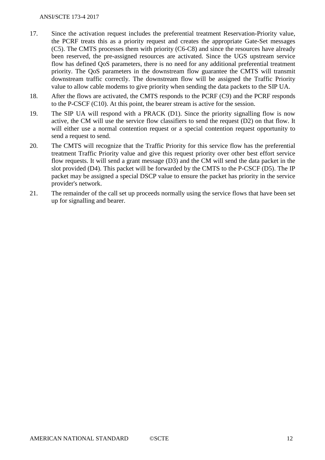- 17. Since the activation request includes the preferential treatment Reservation-Priority value, the PCRF treats this as a priority request and creates the appropriate Gate-Set messages (C5). The CMTS processes them with priority (C6-C8) and since the resources have already been reserved, the pre-assigned resources are activated. Since the UGS upstream service flow has defined QoS parameters, there is no need for any additional preferential treatment priority. The QoS parameters in the downstream flow guarantee the CMTS will transmit downstream traffic correctly. The downstream flow will be assigned the Traffic Priority value to allow cable modems to give priority when sending the data packets to the SIP UA.
- 18. After the flows are activated, the CMTS responds to the PCRF (C9) and the PCRF responds to the P-CSCF (C10). At this point, the bearer stream is active for the session.
- 19. The SIP UA will respond with a PRACK (D1). Since the priority signalling flow is now active, the CM will use the service flow classifiers to send the request (D2) on that flow. It will either use a normal contention request or a special contention request opportunity to send a request to send.
- 20. The CMTS will recognize that the Traffic Priority for this service flow has the preferential treatment Traffic Priority value and give this request priority over other best effort service flow requests. It will send a grant message (D3) and the CM will send the data packet in the slot provided (D4). This packet will be forwarded by the CMTS to the P-CSCF (D5). The IP packet may be assigned a special DSCP value to ensure the packet has priority in the service provider's network.
- 21. The remainder of the call set up proceeds normally using the service flows that have been set up for signalling and bearer.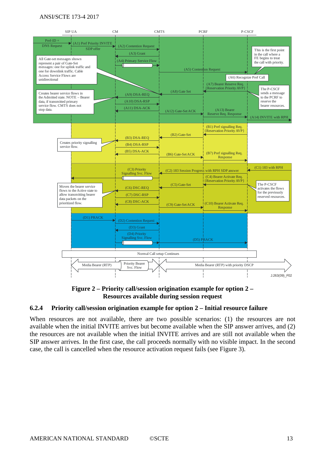#### ANSI/SCTE 173-4 2017



**Figure 2 – Priority call/session origination example for option 2 – Resources available during session request**

#### **6.2.4 Priority call/session origination example for option 2 – Initial resource failure**

When resources are not available, there are two possible scenarios: (1) the resources are not available when the initial INVITE arrives but become available when the SIP answer arrives, and (2) the resources are not available when the initial INVITE arrives and are still not available when the SIP answer arrives. In the first case, the call proceeds normally with no visible impact. In the second case, the call is cancelled when the resource activation request fails (see Figure 3).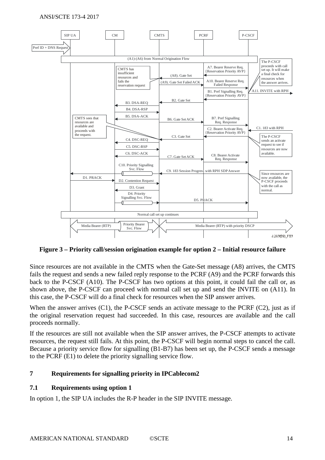#### ANSI/SCTE 173-4 2017



**Figure 3 – Priority call/session origination example for option 2 – Initial resource failure**

Since resources are not available in the CMTS when the Gate-Set message (A8) arrives, the CMTS fails the request and sends a new failed reply response to the PCRF (A9) and the PCRF forwards this back to the P-CSCF (A10). The P-CSCF has two options at this point, it could fail the call or, as shown above, the P-CSCF can proceed with normal call set up and send the INVITE on (A11). In this case, the P-CSCF will do a final check for resources when the SIP answer arrives.

When the answer arrives  $(C1)$ , the P-CSCF sends an activate message to the PCRF  $(C2)$ , just as if the original reservation request had succeeded. In this case, resources are available and the call proceeds normally.

If the resources are still not available when the SIP answer arrives, the P-CSCF attempts to activate resources, the request still fails. At this point, the P-CSCF will begin normal steps to cancel the call. Because a priority service flow for signalling (B1-B7) has been set up, the P-CSCF sends a message to the PCRF (E1) to delete the priority signalling service flow.

#### **7 Requirements for signalling priority in IPCablecom2**

#### **7.1 Requirements using option 1**

In option 1, the SIP UA includes the R-P header in the SIP INVITE message.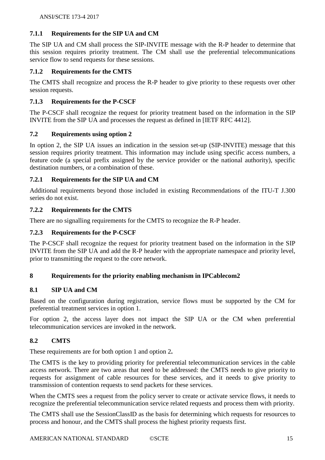#### **7.1.1 Requirements for the SIP UA and CM**

The SIP UA and CM shall process the SIP-INVITE message with the R-P header to determine that this session requires priority treatment. The CM shall use the preferential telecommunications service flow to send requests for these sessions.

#### **7.1.2 Requirements for the CMTS**

The CMTS shall recognize and process the R-P header to give priority to these requests over other session requests.

#### **7.1.3 Requirements for the P-CSCF**

The P-CSCF shall recognize the request for priority treatment based on the information in the SIP INVITE from the SIP UA and processes the request as defined in [IETF RFC 4412].

#### **7.2 Requirements using option 2**

In option 2, the SIP UA issues an indication in the session set-up (SIP-INVITE) message that this session requires priority treatment. This information may include using specific access numbers, a feature code (a special prefix assigned by the service provider or the national authority), specific destination numbers, or a combination of these.

#### **7.2.1 Requirements for the SIP UA and CM**

Additional requirements beyond those included in existing Recommendations of the ITU-T J.300 series do not exist.

#### **7.2.2 Requirements for the CMTS**

There are no signalling requirements for the CMTS to recognize the R-P header.

#### **7.2.3 Requirements for the P-CSCF**

The P-CSCF shall recognize the request for priority treatment based on the information in the SIP INVITE from the SIP UA and add the R-P header with the appropriate namespace and priority level, prior to transmitting the request to the core network.

#### **8 Requirements for the priority enabling mechanism in IPCablecom2**

#### **8.1 SIP UA and CM**

Based on the configuration during registration, service flows must be supported by the CM for preferential treatment services in option 1.

For option 2, the access layer does not impact the SIP UA or the CM when preferential telecommunication services are invoked in the network.

#### **8.2 CMTS**

These requirements are for both option 1 and option 2**.**

The CMTS is the key to providing priority for preferential telecommunication services in the cable access network. There are two areas that need to be addressed: the CMTS needs to give priority to requests for assignment of cable resources for these services, and it needs to give priority to transmission of contention requests to send packets for these services.

When the CMTS sees a request from the policy server to create or activate service flows, it needs to recognize the preferential telecommunication service related requests and process them with priority.

The CMTS shall use the SessionClassID as the basis for determining which requests for resources to process and honour, and the CMTS shall process the highest priority requests first.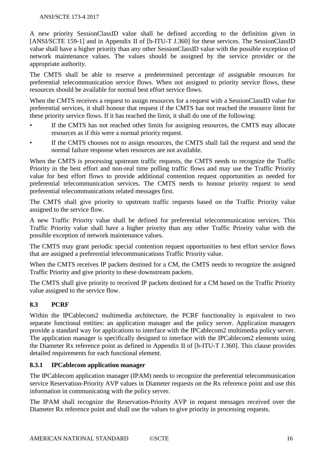A new priority SessionClassID value shall be defined according to the definition given in [ANSI/SCTE 159-1] and in Appendix II of [b-ITU-T J.360] for these services. The SessionClassID value shall have a higher priority than any other SessionClassID value with the possible exception of network maintenance values. The values should be assigned by the service provider or the appropriate authority.

The CMTS shall be able to reserve a predetermined percentage of assignable resources for preferential telecommunication service flows. When not assigned to priority service flows, these resources should be available for normal best effort service flows.

When the CMTS receives a request to assign resources for a request with a SessionClassID value for preferential services, it shall honour that request if the CMTS has not reached the resource limit for these priority service flows. If it has reached the limit, it shall do one of the following:

- If the CMTS has not reached other limits for assigning resources, the CMTS may allocate resources as if this were a normal priority request.
- If the CMTS chooses not to assign resources, the CMTS shall fail the request and send the normal failure response when resources are not available.

When the CMTS is processing upstream traffic requests, the CMTS needs to recognize the Traffic Priority in the best effort and non-real time polling traffic flows and may use the Traffic Priority value for best effort flows to provide additional contention request opportunities as needed for preferential telecommunication services. The CMTS needs to honour priority request to send preferential telecommunications related messages first.

The CMTS shall give priority to upstream traffic requests based on the Traffic Priority value assigned to the service flow.

A new Traffic Priority value shall be defined for preferential telecommunication services. This Traffic Priority value shall have a higher priority than any other Traffic Priority value with the possible exception of network maintenance values.

The CMTS may grant periodic special contention request opportunities to best effort service flows that are assigned a preferential telecommunications Traffic Priority value.

When the CMTS receives IP packets destined for a CM, the CMTS needs to recognize the assigned Traffic Priority and give priority to these downstream packets.

The CMTS shall give priority to received IP packets destined for a CM based on the Traffic Priority value assigned to the service flow.

## **8.3 PCRF**

Within the IPCablecom2 multimedia architecture, the PCRF functionality is equivalent to two separate functional entities: an application manager and the policy server. Application managers provide a standard way for applications to interface with the IPCablecom2 multimedia policy server. The application manager is specifically designed to interface with the IPCablecom2 elements using the Diameter Rx reference point as defined in Appendix II of [b-ITU-T J.360]. This clause provides detailed requirements for each functional element.

#### **8.3.1 IPCablecom application manager**

The IPCablecom application manager (IPAM) needs to recognize the preferential telecommunication service Reservation-Priority AVP values in Diameter requests on the Rx reference point and use this information in communicating with the policy server.

The IPAM shall recognize the Reservation-Priority AVP in request messages received over the Diameter Rx reference point and shall use the values to give priority in processing requests.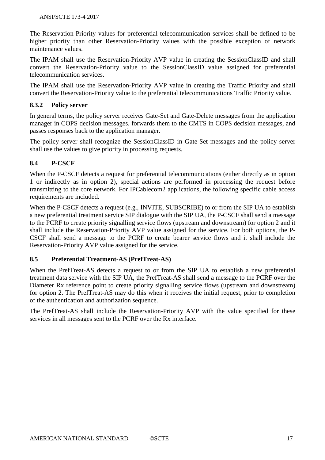The Reservation-Priority values for preferential telecommunication services shall be defined to be higher priority than other Reservation-Priority values with the possible exception of network maintenance values.

The IPAM shall use the Reservation-Priority AVP value in creating the SessionClassID and shall convert the Reservation-Priority value to the SessionClassID value assigned for preferential telecommunication services.

The IPAM shall use the Reservation-Priority AVP value in creating the Traffic Priority and shall convert the Reservation-Priority value to the preferential telecommunications Traffic Priority value.

#### **8.3.2 Policy server**

In general terms, the policy server receives Gate-Set and Gate-Delete messages from the application manager in COPS decision messages, forwards them to the CMTS in COPS decision messages, and passes responses back to the application manager.

The policy server shall recognize the SessionClassID in Gate-Set messages and the policy server shall use the values to give priority in processing requests.

#### **8.4 P-CSCF**

When the P-CSCF detects a request for preferential telecommunications (either directly as in option 1 or indirectly as in option 2), special actions are performed in processing the request before transmitting to the core network. For IPCablecom2 applications, the following specific cable access requirements are included.

When the P-CSCF detects a request (e.g., INVITE, SUBSCRIBE) to or from the SIP UA to establish a new preferential treatment service SIP dialogue with the SIP UA, the P-CSCF shall send a message to the PCRF to create priority signalling service flows (upstream and downstream) for option 2 and it shall include the Reservation-Priority AVP value assigned for the service. For both options, the P-CSCF shall send a message to the PCRF to create bearer service flows and it shall include the Reservation-Priority AVP value assigned for the service.

#### **8.5 Preferential Treatment-AS (PrefTreat-AS)**

When the PrefTreat-AS detects a request to or from the SIP UA to establish a new preferential treatment data service with the SIP UA, the PrefTreat-AS shall send a message to the PCRF over the Diameter Rx reference point to create priority signalling service flows (upstream and downstream) for option 2. The PrefTreat-AS may do this when it receives the initial request, prior to completion of the authentication and authorization sequence.

The PrefTreat-AS shall include the Reservation-Priority AVP with the value specified for these services in all messages sent to the PCRF over the Rx interface.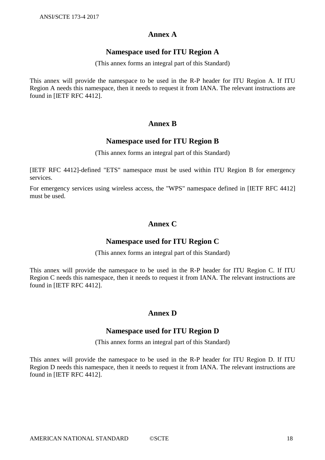#### **Annex A**

#### **Namespace used for ITU Region A**

(This annex forms an integral part of this Standard)

This annex will provide the namespace to be used in the R-P header for ITU Region A. If ITU Region A needs this namespace, then it needs to request it from IANA. The relevant instructions are found in [IETF RFC 4412].

## **Annex B**

#### **Namespace used for ITU Region B**

(This annex forms an integral part of this Standard)

[IETF RFC 4412]-defined "ETS" namespace must be used within ITU Region B for emergency services.

For emergency services using wireless access, the "WPS" namespace defined in [IETF RFC 4412] must be used.

## **Annex C**

#### **Namespace used for ITU Region C**

(This annex forms an integral part of this Standard)

This annex will provide the namespace to be used in the R-P header for ITU Region C. If ITU Region C needs this namespace, then it needs to request it from IANA. The relevant instructions are found in [IETF RFC 4412].

## **Annex D**

#### **Namespace used for ITU Region D**

(This annex forms an integral part of this Standard)

This annex will provide the namespace to be used in the R-P header for ITU Region D. If ITU Region D needs this namespace, then it needs to request it from IANA. The relevant instructions are found in [IETF RFC 4412].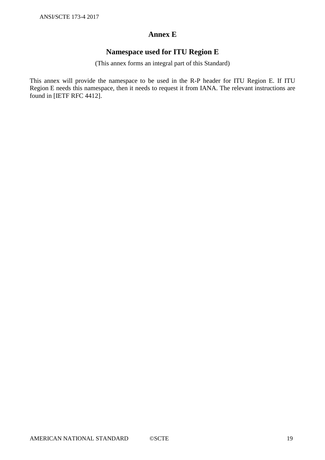## **Annex E**

## **Namespace used for ITU Region E**

(This annex forms an integral part of this Standard)

This annex will provide the namespace to be used in the R-P header for ITU Region E. If ITU Region E needs this namespace, then it needs to request it from IANA. The relevant instructions are found in [IETF RFC 4412].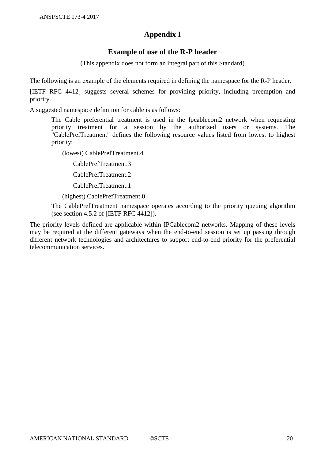## **Appendix I**

## **Example of use of the R-P header**

(This appendix does not form an integral part of this Standard)

The following is an example of the elements required in defining the namespace for the R-P header.

[IETF RFC 4412] suggests several schemes for providing priority, including preemption and priority.

A suggested namespace definition for cable is as follows:

The Cable preferential treatment is used in the Ipcablecom2 network when requesting priority treatment for a session by the authorized users or systems. The "CablePrefTreatment" defines the following resource values listed from lowest to highest priority:

(lowest) CablePrefTreatment.4

CablePrefTreatment.3

CablePrefTreatment.2

CablePrefTreatment.1

(highest) CablePrefTreatment.0

The CablePrefTreatment namespace operates according to the priority queuing algorithm (see section 4.5.2 of [IETF RFC 4412]).

The priority levels defined are applicable within IPCablecom2 networks. Mapping of these levels may be required at the different gateways when the end-to-end session is set up passing through different network technologies and architectures to support end-to-end priority for the preferential telecommunication services.